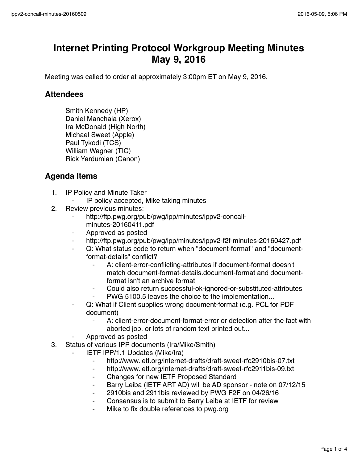## **Internet Printing Protocol Workgroup Meeting Minutes May 9, 2016**

Meeting was called to order at approximately 3:00pm ET on May 9, 2016.

## **Attendees**

Smith Kennedy (HP) Daniel Manchala (Xerox) Ira McDonald (High North) Michael Sweet (Apple) Paul Tykodi (TCS) William Wagner (TIC) Rick Yardumian (Canon)

## **Agenda Items**

- 1. IP Policy and Minute Taker
	- ⁃ IP policy accepted, Mike taking minutes
- 2. Review previous minutes:
	- http://ftp.pwg.org/pub/pwg/ipp/minutes/ippv2-concallminutes-20160411.pdf
	- ⁃ Approved as posted
	- http://ftp.pwg.org/pub/pwg/ipp/minutes/ippv2-f2f-minutes-20160427.pdf
	- ⁃ Q: What status code to return when "document-format" and "documentformat-details" conflict?
		- A: client-error-conflicting-attributes if document-format doesn't match document-format-details.document-format and documentformat isn't an archive format
		- Could also return successful-ok-ignored-or-substituted-attributes
		- PWG 5100.5 leaves the choice to the implementation...
	- Q: What if Client supplies wrong document-format (e.g. PCL for PDF document)
		- A: client-error-document-format-error or detection after the fact with aborted job, or lots of random text printed out...
	- ⁃ Approved as posted
- 3. Status of various IPP documents (Ira/Mike/Smith)
	- **IETF IPP/1.1 Updates (Mike/Ira)** 
		- ⁃ http://www.ietf.org/internet-drafts/draft-sweet-rfc2910bis-07.txt
		- ⁃ http://www.ietf.org/internet-drafts/draft-sweet-rfc2911bis-09.txt
		- Changes for new IETF Proposed Standard
		- ⁃ Barry Leiba (IETF ART AD) will be AD sponsor note on 07/12/15
		- ⁃ 2910bis and 2911bis reviewed by PWG F2F on 04/26/16
		- Consensus is to submit to Barry Leiba at IETF for review
		- Mike to fix double references to pwg.org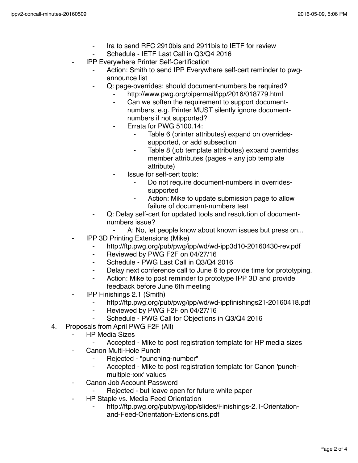- Ira to send RFC 2910bis and 2911bis to IETF for review
- Schedule IETF Last Call in Q3/Q4 2016
- **IPP Everywhere Printer Self-Certification** 
	- Action: Smith to send IPP Everywhere self-cert reminder to pwgannounce list
	- Q: page-overrides: should document-numbers be required?
		- http://www.pwg.org/pipermail/ipp/2016/018779.html
		- Can we soften the requirement to support documentnumbers, e.g. Printer MUST silently ignore documentnumbers if not supported?
		- Errata for PWG 5100.14:
			- Table 6 (printer attributes) expand on overridessupported, or add subsection
			- Table 8 (job template attributes) expand overrides member attributes (pages + any job template attribute)
		- ⁃ Issue for self-cert tools:
			- Do not require document-numbers in overridessupported
			- ⁃ Action: Mike to update submission page to allow failure of document-numbers test
	- Q: Delay self-cert for updated tools and resolution of documentnumbers issue?
	- ⁃ A: No, let people know about known issues but press on...
	- **IPP 3D Printing Extensions (Mike)** 
		- ⁃ http://ftp.pwg.org/pub/pwg/ipp/wd/wd-ipp3d10-20160430-rev.pdf
		- ⁃ Reviewed by PWG F2F on 04/27/16
		- ⁃ Schedule PWG Last Call in Q3/Q4 2016
		- Delay next conference call to June 6 to provide time for prototyping.
		- Action: Mike to post reminder to prototype IPP 3D and provide feedback before June 6th meeting
- ⁃ IPP Finishings 2.1 (Smith)
	- http://ftp.pwg.org/pub/pwg/ipp/wd/wd-ippfinishings21-20160418.pdf
	- ⁃ Reviewed by PWG F2F on 04/27/16
	- Schedule PWG Call for Objections in Q3/Q4 2016
- 4. Proposals from April PWG F2F (All)
	- ⁃ HP Media Sizes
		- Accepted Mike to post registration template for HP media sizes
	- Canon Multi-Hole Punch
		- Rejected "punching-number"
		- ⁃ Accepted Mike to post registration template for Canon 'punchmultiple-xxx' values
	- Canon Job Account Password
		- Rejected but leave open for future white paper
	- ⁃ HP Staple vs. Media Feed Orientation
		- http://ftp.pwg.org/pub/pwg/ipp/slides/Finishings-2.1-Orientationand-Feed-Orientation-Extensions.pdf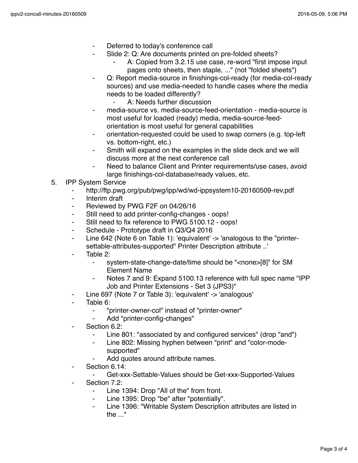- Deferred to today's conference call
- Slide 2: Q: Are documents printed on pre-folded sheets?
	- A: Copied from 3.2.15 use case, re-word "first impose input pages onto sheets, then staple, ..." (not "folded sheets")
- Q: Report media-source in finishings-col-ready (for media-col-ready sources) and use media-needed to handle cases where the media needs to be loaded differently?
	- ⁃ A: Needs further discussion
- media-source vs. media-source-feed-orientation media-source is most useful for loaded (ready) media, media-source-feedorientation is most useful for general capabilities
- orientation-requested could be used to swap corners (e.g. top-left vs. bottom-right, etc.)
- Smith will expand on the examples in the slide deck and we will discuss more at the next conference call
- Need to balance Client and Printer requirements/use cases, avoid large finishings-col-database/ready values, etc.
- 5. IPP System Service
	- ⁃ http://ftp.pwg.org/pub/pwg/ipp/wd/wd-ippsystem10-20160509-rev.pdf
	- ⁃ Interim draft
	- ⁃ Reviewed by PWG F2F on 04/26/16
	- ⁃ Still need to add printer-config-changes oops!
	- Still need to fix reference to PWG 5100.12 oops!
	- ⁃ Schedule Prototype draft in Q3/Q4 2016
	- ⁃ Line 642 (Note 6 on Table 1): 'equivalent' -> 'analogous to the "printersettable-attributes-supported" Printer Description attribute ..'
	- Table 2:
		- ⁃ system-state-change-date/time should be "<none>[8]" for SM Element Name
		- Notes 7 and 9: Expand 5100.13 reference with full spec name "IPP Job and Printer Extensions - Set 3 (JPS3)"
	- Line 697 (Note 7 or Table 3): 'equivalent' -> 'analogous'
	- Table 6:
		- ⁃ "printer-owner-col" instead of "printer-owner"
		- Add "printer-config-changes"
	- Section 6.2:
		- ⁃ Line 801: "associated by and configured services" (drop "and")
		- Line 802: Missing hyphen between "print" and "color-modesupported"
		- Add quotes around attribute names.
	- Section 6.14:
		- ⁃ Get-xxx-Settable-Values should be Get-xxx-Supported-Values
	- Section 7.2:
		- ⁃ Line 1394: Drop "All of the" from front.
		- Line 1395: Drop "be" after "potentially".
		- ⁃ Line 1396: "Writable System Description attributes are listed in the ..."